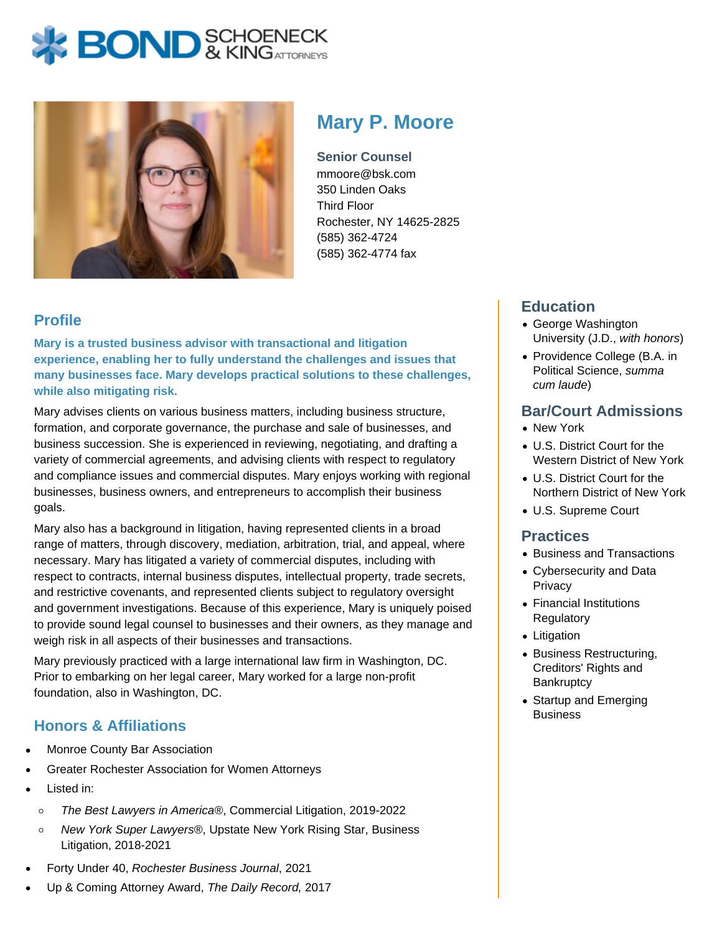# **X BOND** & KINGATTORNECK



# **Mary P. Moore**

**Senior Counsel** mmoore@bsk.com 350 Linden Oaks Third Floor Rochester, NY 14625-2825 (585) 362-4724 (585) 362-4774 fax

# **Profile**

**Mary is a trusted business advisor with transactional and litigation experience, enabling her to fully understand the challenges and issues that many businesses face. Mary develops practical solutions to these challenges, while also mitigating risk.**

Mary advises clients on various business matters, including business structure, formation, and corporate governance, the purchase and sale of businesses, and business succession. She is experienced in reviewing, negotiating, and drafting a variety of commercial agreements, and advising clients with respect to regulatory and compliance issues and commercial disputes. Mary enjoys working with regional businesses, business owners, and entrepreneurs to accomplish their business goals.

Mary also has a background in litigation, having represented clients in a broad range of matters, through discovery, mediation, arbitration, trial, and appeal, where necessary. Mary has litigated a variety of commercial disputes, including with respect to contracts, internal business disputes, intellectual property, trade secrets, and restrictive covenants, and represented clients subject to regulatory oversight and government investigations. Because of this experience, Mary is uniquely poised to provide sound legal counsel to businesses and their owners, as they manage and weigh risk in all aspects of their businesses and transactions.

Mary previously practiced with a large international law firm in Washington, DC. Prior to embarking on her legal career, Mary worked for a large non-profit foundation, also in Washington, DC.

### **Honors & Affiliations**

- Monroe County Bar Association
- Greater Rochester Association for Women Attorneys
- Listed in:
	- The Best Lawyers in America®, Commercial Litigation, 2019-2022  $\circ$
	- New York Super Lawyers®, Upstate New York Rising Star, Business  $\circ$ Litigation, 2018-2021
- Forty Under 40, Rochester Business Journal, 2021
- Up & Coming Attorney Award, The Daily Record, 2017

## **Education**

- George Washington University (J.D., with honors)
- Providence College (B.A. in Political Science, summa cum laude)

#### **Bar/Court Admissions**

- New York
- U.S. District Court for the Western District of New York
- U.S. District Court for the Northern District of New York
- U.S. Supreme Court

#### **Practices**

- Business and Transactions
- Cybersecurity and Data **Privacy**
- Financial Institutions **Regulatory**
- Litigation
- Business Restructuring, Creditors' Rights and **Bankruptcy**
- Startup and Emerging Business